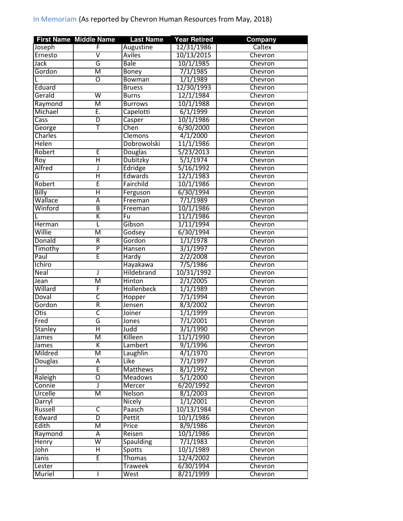|                  | <b>First Name Middle Name</b> | <b>Last Name</b>   | <b>Year Retired</b>   | <b>Company</b>     |
|------------------|-------------------------------|--------------------|-----------------------|--------------------|
| Joseph           | F                             | Augustine          | 12/31/1986            | Caltex             |
| Ernesto          | $\overline{\mathsf{v}}$       | <b>Aviles</b>      | 10/13/2015            | Chevron            |
| <b>Jack</b>      | G                             | <b>Bale</b>        | 10/1/1985             | Chevron            |
| Gordon           | $\overline{\mathsf{M}}$       | Boney              | 7/1/1985              | Chevron            |
| L                | $\overline{0}$                | <b>Bowman</b>      | 1/1/1989              | Chevron            |
| Eduard           |                               | <b>Bruess</b>      | 12/30/1993            | Chevron            |
| Gerald           | $\overline{\mathsf{w}}$       | <b>Burns</b>       | 12/1/1984             | Chevron            |
| Raymond          | М                             | <b>Burrows</b>     | 10/1/1988             | Chevron            |
| Michael          | Ē.                            | Capelotti          | 6/1/1999              | Chevron            |
| Cass             | $\overline{D}$                | Casper             | 10/1/1986             | Chevron            |
| George           | т                             | Chen               | 6/30/2000             | Chevron            |
| <b>Charles</b>   |                               | <b>Clemons</b>     | 4/1/2000              | Chevron            |
| Helen            |                               | Dobrowolski        | 11/1/1986             | Chevron            |
| Robert           | E                             | Douglas            | 5/23/2013             | Chevron            |
| Roy              | Η                             | <b>Dubitzky</b>    | 5/1/1974              | Chevron            |
| Alfred           | J                             | Edridge            | 5/16/1992             | Chevron            |
| G                | Ή                             | <b>Edwards</b>     | 12/1/1983             | Chevron            |
| Robert           | Ē                             | Fairchild          | 10/1/1986             | Chevron            |
| Billy            | Ή                             | Ferguson           | 6/30/1994             | Chevron            |
| Wallace          | Ā                             | Freeman            | 7/1/1989              | Chevron            |
| Winford          | $\overline{B}$                | Freeman            | 10/1/1986             | Chevron            |
|                  | Κ                             | Fu                 | 11/1/1986             | Chevron            |
| Herman           | L                             | Gibson             | 1/11/1994             | Chevron            |
| Willie           | $\overline{\mathsf{M}}$       | Godsey             | 6/30/1994             | Chevron            |
| Donald           | $\overline{\mathsf{R}}$       | Gordon             | 1/1/1978              | Chevron            |
| Timothy          | $\overline{\mathsf{P}}$       | Hansen             | 3/1/1997              | Chevron            |
| Paul             | Ē                             | Hardy              | 2/2/2008              | Chevron            |
| Ichiro           |                               | Hayakawa           | 7/5/1986              | Chevron            |
| Neal             | J                             | Hildebrand         | 10/31/1992            | Chevron            |
| Jean             | $\overline{\mathsf{M}}$       | <b>Hinton</b>      | 2/1/2005              | Chevron            |
| Willard          | F                             | <b>Hollenbeck</b>  | 1/1/1989              | Chevron            |
| Doval            | $\overline{\mathsf{c}}$       |                    | 7/1/1994              | Chevron            |
| Gordon           | $\overline{\mathsf{R}}$       | Hopper<br>Jensen   | 8/3/2002              | Chevron            |
| <b>Otis</b>      | C                             | <b>Joiner</b>      | 1/1/1999              | Chevron            |
| Fred             | G                             |                    | 7/1/2001              | Chevron            |
| <b>Stanley</b>   | Η                             | Jones<br>Judd      | 3/1/1990              |                    |
|                  |                               |                    |                       | Chevron            |
| James            | M<br>K                        | Killeen<br>Lambert | 11/1/1990<br>9/1/1996 | Chevron<br>Chevron |
| James<br>Mildred |                               |                    | 4/1/1970              | Chevron            |
|                  | Μ                             | Laughlin           |                       |                    |
| Douglas          | Α<br>Έ                        | Like               | 7/1/1997              | Chevron            |
|                  |                               | <b>Matthews</b>    | 8/1/1992              | Chevron            |
| Raleigh          | $\overline{\mathrm{o}}$       | <b>Meadows</b>     | 5/1/2000              | Chevron            |
| Connie           | J                             | Mercer             | 6/20/1992             | Chevron            |
| Urcelle          | М                             | Nelson             | 8/1/2003              | Chevron            |
| Darryl           |                               | <b>Nicely</b>      | 1/1/2001              | Chevron            |
| Russell          | $\overline{\mathsf{C}}$       | Paasch             | 10/13/1984            | Chevron            |
| Edward           | $\overline{D}$                | Pettit             | 10/1/1986             | Chevron            |
| Edith            | $\overline{\mathsf{M}}$       | Price              | 8/9/1986              | Chevron            |
| Raymond          | A                             | Reisen             | 10/1/1986             | Chevron            |
| Henry            | W                             | <b>Spaulding</b>   | 7/1/1983              | Chevron            |
| John             | Ξ                             | Spotts             | 10/1/1989             | Chevron            |
| Janis            | Ē                             | Thomas             | 12/4/2002             | Chevron            |
| Lester           |                               | <b>Traweek</b>     | 6/30/1994             | Chevron            |
| Muriel           |                               | West               | 8/21/1999             | Chevron            |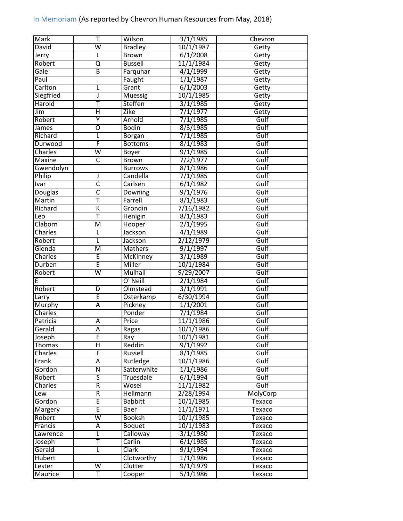| Mark           | Т                       | Wilson             | 3/1/1985  | Chevron       |
|----------------|-------------------------|--------------------|-----------|---------------|
| David          | $\overline{\mathsf{w}}$ | <b>Bradley</b>     | 10/1/1987 | Getty         |
| Jerry          |                         | <b>Brown</b>       | 6/1/2008  | Getty         |
| Robert         | Q                       | <b>Bussell</b>     | 11/1/1984 | Getty         |
| Gale           | $\overline{\mathsf{B}}$ | Farquhar           | 4/1/1999  | Getty         |
| Paul           |                         | Faught             | 1/1/1987  | Getty         |
| Carlton        |                         | Grant              | 6/1/2003  | Getty         |
| Siegfried      | J                       | <b>Muessig</b>     | 10/1/1985 | Getty         |
| Harold         | Ŧ                       | Steffen            | 3/1/1985  | Getty         |
| Jim            | Η                       | Zike               | 7/1/1977  | Getty         |
| Robert         | Ÿ                       | Arnold             | 7/1/1985  | Gulf          |
| James          | Ō                       | <b>Bodin</b>       | 8/3/1985  | Gulf          |
| Richard        | L                       | <b>Borgan</b>      | 7/1/1985  | Gulf          |
| Durwood        | F                       | <b>Bottoms</b>     | 8/1/1983  | Gulf          |
| Charles        | $\overline{\mathsf{w}}$ | <b>Boyer</b>       | 9/1/1985  | Gulf          |
| <b>Maxine</b>  | $\overline{\mathsf{C}}$ | <b>Brown</b>       | 7/2/1977  | Gulf          |
| Gwendolyn      |                         | <b>Burrows</b>     | 8/1/1986  | Gulf          |
| Philip         | J                       | Candella           | 7/1/1985  | Gulf          |
| <b>Ivar</b>    | $\overline{\mathsf{c}}$ | Carlsen            | 6/1/1982  | Gulf          |
| Douglas        | C                       | Downing            | 9/1/1976  | Gulf          |
| <b>Martin</b>  | Ŧ                       | Farrell            | 8/1/1983  | Gulf          |
| Richard        | K                       | Grondin            | 7/16/1982 | Gulf          |
| Leo            | Ŧ                       | Henigin            | 8/1/1983  | Gulf          |
| Claborn        | M                       | Hooper             | 2/1/1995  | Gulf          |
|                |                         | Jackson            | 4/1/1989  | Gulf          |
| <b>Charles</b> | L                       |                    | 2/12/1979 |               |
| Robert         | L                       | Jackson            |           | Gulf          |
| Glenda         | $\overline{\mathsf{M}}$ | <b>Mathers</b>     | 9/1/1997  | Gulf          |
| <b>Charles</b> | Ē                       | <b>McKinney</b>    | 3/1/1989  | Gulf          |
| Durben         | Ē                       | Miller             | 10/1/1984 | Gulf          |
| Robert         | $\overline{\mathsf{w}}$ | <b>Mulhall</b>     | 9/29/2007 | Gulf          |
| E              |                         | O' Neill           | 2/1/1984  | Gulf          |
| Robert         | $\overline{\mathsf{D}}$ | Olmstead           | 3/1/1991  | Gulf          |
| Larry          | Ē                       | Osterkamp          | 6/30/1994 | Gulf          |
| Murphy         | Ā                       | Pickney            | 1/1/2001  | Gulf          |
| Charles        |                         | Ponder             | 7/1/1984  | Gulf          |
| Patricia       | A                       | Price              | 11/1/1986 | Gulf          |
| Gerald         | Ā                       | Ragas              | 10/1/1986 | Gulf          |
| Joseph         | E                       | Ray                | 10/1/1981 | Gulf          |
| <b>Thomas</b>  | Η                       | Reddin             | 9/1/1992  | Gulf          |
| Charles        | F                       | Russell            | 8/1/1985  | Gulf          |
| Frank          | A                       | Rutledge           | 10/1/1986 | Gulf          |
| Gordon         | Ñ                       | <b>Satterwhite</b> | 1/1/1986  | Gulf          |
| Robert         | 5                       | Truesdale          | 6/1/1994  | Gulf          |
| Charles        | $\overline{R}$          | Wosel              | 11/1/1982 | Gulf          |
| Lew            | R                       | <b>Hellmann</b>    | 2/28/1994 | MolyCorp      |
| Gordon         | E                       | <b>Babbitt</b>     | 10/1/1985 | Texaco        |
| Margery        | Ē                       | Baer               | 11/1/1971 | Texaco        |
| Robert         | $\overline{\mathsf{w}}$ | <b>Booksh</b>      | 10/1/1985 | Texaco        |
| Francis        | Α                       | <b>Boquet</b>      | 10/1/1983 | Texaco        |
| Lawrence       | L                       | Calloway           | 3/1/1980  | Texaco        |
| Joseph         | т                       | Carlin             | 6/1/1985  | Texaco        |
| Gerald         | L                       | Clark              | 9/1/1994  | Texaco        |
| Hubert         |                         | Clotworthy         | 1/1/1986  | Texaco        |
| Lester         | $\overline{\mathsf{W}}$ | Clutter            | 9/1/1979  | <b>Texaco</b> |
| Maurice        | Ŧ                       | Cooper             | 5/1/1986  | <b>Texaco</b> |